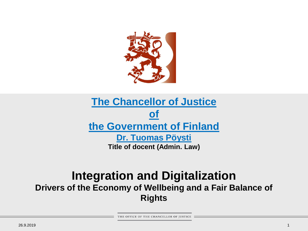

#### **The Chancellor of Justice of the [Government](https://www.okv.fi/sv/) of Finland [Dr. Tuomas Pöysti](https://www.okv.fi/sv/justitiekanslern/justitiekanslern/justitiekansler-tuomas-poysti/) Title of docent (Admin. Law)**

#### **Integration and Digitalization Drivers of the Economy of Wellbeing and a Fair Balance of Rights**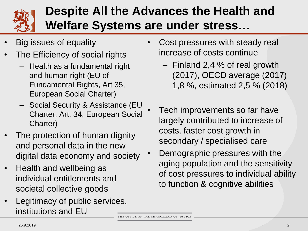

## **Despite All the Advances the Health and Welfare Systems are under stress…**

- Big issues of equality
- The Efficiency of social rights
	- Health as a fundamental right and human right (EU of Fundamental Rights, Art 35, European Social Charter)
	- Social Security & Assistance (EU Charter, Art. 34, European Social Charter)
- The protection of human dignity and personal data in the new digital data economy and society
- Health and wellbeing as individual entitlements and societal collective goods
- Legitimacy of public services, institutions and EU
- Cost pressures with steady real increase of costs continue
	- Finland 2,4 % of real growth (2017), OECD average (2017) 1,8 %, estimated 2,5 % (2018)
- Tech improvements so far have largely contributed to increase of costs, faster cost growth in secondary / specialised care
- Demographic pressures with the aging population and the sensitivity of cost pressures to individual ability to function & cognitive abilities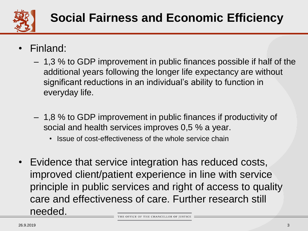

- Finland:
	- 1,3 % to GDP improvement in public finances possible if half of the additional years following the longer life expectancy are without significant reductions in an individual's ability to function in everyday life.
	- 1,8 % to GDP improvement in public finances if productivity of social and health services improves 0,5 % a year.
		- Issue of cost-effectiveness of the whole service chain
- Evidence that service integration has reduced costs, improved client/patient experience in line with service principle in public services and right of access to quality care and effectiveness of care. Further research still needed.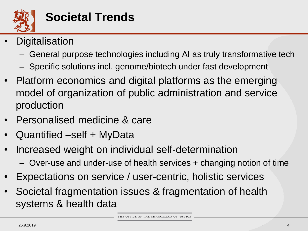

- **Digitalisation** 
	- General purpose technologies including AI as truly transformative tech
	- Specific solutions incl. genome/biotech under fast development
- Platform economics and digital platforms as the emerging model of organization of public administration and service production
- Personalised medicine & care
- Quantified –self + MyData
- Increased weight on individual self-determination
	- Over-use and under-use of health services + changing notion of time
- Expectations on service / user-centric, holistic services
- Societal fragmentation issues & fragmentation of health systems & health data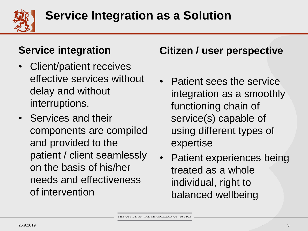

#### **Service integration**

- Client/patient receives effective services without delay and without interruptions.
- Services and their components are compiled and provided to the patient / client seamlessly on the basis of his/her needs and effectiveness of intervention

#### **Citizen / user perspective**

- Patient sees the service integration as a smoothly functioning chain of service(s) capable of using different types of expertise
- Patient experiences being treated as a whole individual, right to balanced wellbeing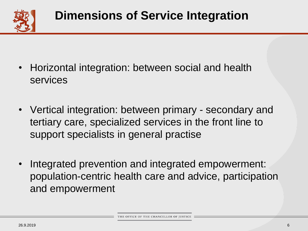

- Horizontal integration: between social and health services
- Vertical integration: between primary secondary and tertiary care, specialized services in the front line to support specialists in general practise
- Integrated prevention and integrated empowerment: population-centric health care and advice, participation and empowerment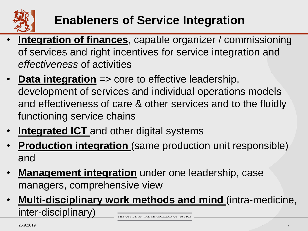

# **Enableners of Service Integration**

- **Integration of finances**, capable organizer / commissioning of services and right incentives for service integration and *effectiveness* of activities
- **Data integration** => core to effective leadership, development of services and individual operations models and effectiveness of care & other services and to the fluidly functioning service chains
- **Integrated ICT** and other digital systems
- **Production integration** (same production unit responsible) and
- **Management integration** under one leadership, case managers, comprehensive view
- **Multi-disciplinary work methods and mind** (intra-medicine, inter-disciplinary)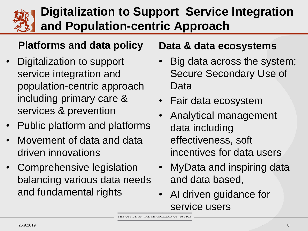

## **Digitalization to Support Service Integration and Population-centric Approach**

### **Platforms and data policy**

- Digitalization to support service integration and population-centric approach including primary care & services & prevention
- Public platform and platforms
- Movement of data and data driven innovations
- Comprehensive legislation balancing various data needs and fundamental rights

#### **Data & data ecosystems**

- Big data across the system; Secure Secondary Use of Data
- Fair data ecosystem
- Analytical management data including effectiveness, soft incentives for data users
- MyData and inspiring data and data based,
- AI driven guidance for service users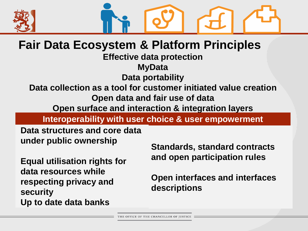



### **Fair Data Ecosystem & Platform Principles**

**Effective data protection**

**MyData**

**Data portability**

**Data collection as a tool for customer initiated value creation Open data and fair use of data**

**Open surface and interaction & integration layers**

**Interoperability with user choice & user empowerment**

**Data structures and core data under public ownership**

**Equal utilisation rights for data resources while respecting privacy and security Up to date data banks**

**Standards, standard contracts and open participation rules**

**Open interfaces and interfaces descriptions**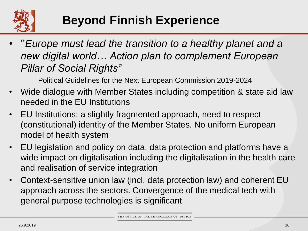

# **Beyond Finnish Experience**

• ''*Europe must lead the transition to a healthy planet and a new digital world… Action plan to complement European Pillar of Social Rights'*'

Political Guidelines for the Next European Commission 2019-2024

- Wide dialogue with Member States including competition & state aid law needed in the EU Institutions
- EU Institutions: a slightly fragmented approach, need to respect (constitutional) identity of the Member States. No uniform European model of health system
- EU legislation and policy on data, data protection and platforms have a wide impact on digitalisation including the digitalisation in the health care and realisation of service integration
- Context-sensitive union law (incl. data protection law) and coherent EU approach across the sectors. Convergence of the medical tech with general purpose technologies is significant